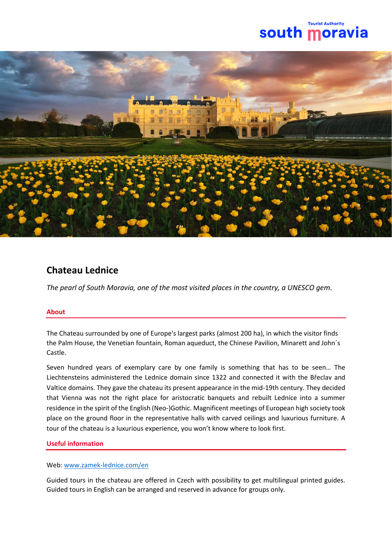## **Tourist Authorit** south moravi



# **Chateau Lednice**

*The pearl of South Moravia, one of the most visited places in the country, a UNESCO gem.*

#### **About**

The Chateau surrounded by one of Europe's largest parks (almost 200 ha), in which the visitor finds the Palm House, the Venetian fountain, Roman aqueduct, the Chinese Pavilion, Minarett and John´s Castle.

Seven hundred years of exemplary care by one family is something that has to be seen… The Liechtensteins administered the Lednice domain since 1322 and connected it with the Břeclav and Valtice domains. They gave the chateau its present appearance in the mid-19th century. They decided that Vienna was not the right place for aristocratic banquets and rebuilt Lednice into a summer residence in the spirit of the English (Neo-)Gothic. Magnificent meetings of European high society took place on the ground floor in the representative halls with carved ceilings and luxurious furniture. A tour of the chateau is a luxurious experience, you won't know where to look first.

#### **Useful information**

### Web: [www.zamek-lednice.com/en](http://www.zamek-lednice.com/en)

Guided tours in the chateau are offered in Czech with possibility to get multilingual printed guides. Guided tours in English can be arranged and reserved in advance for groups only.